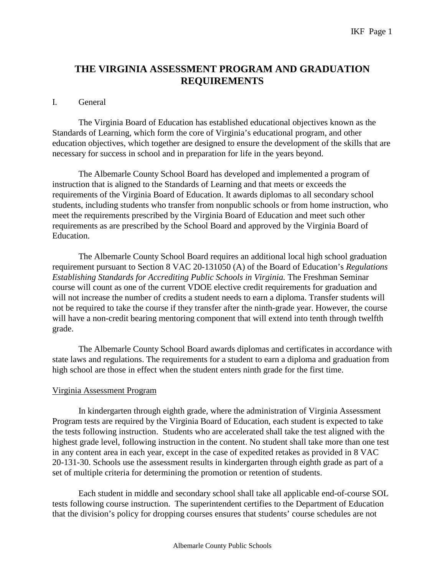# **THE VIRGINIA ASSESSMENT PROGRAM AND GRADUATION REQUIREMENTS**

#### I. General

The Virginia Board of Education has established educational objectives known as the Standards of Learning, which form the core of Virginia's educational program, and other education objectives, which together are designed to ensure the development of the skills that are necessary for success in school and in preparation for life in the years beyond.

The Albemarle County School Board has developed and implemented a program of instruction that is aligned to the Standards of Learning and that meets or exceeds the requirements of the Virginia Board of Education. It awards diplomas to all secondary school students, including students who transfer from nonpublic schools or from home instruction, who meet the requirements prescribed by the Virginia Board of Education and meet such other requirements as are prescribed by the School Board and approved by the Virginia Board of Education.

The Albemarle County School Board requires an additional local high school graduation requirement pursuant to Section 8 VAC 20-131050 (A) of the Board of Education's *Regulations Establishing Standards for Accrediting Public Schools in Virginia.* The Freshman Seminar course will count as one of the current VDOE elective credit requirements for graduation and will not increase the number of credits a student needs to earn a diploma. Transfer students will not be required to take the course if they transfer after the ninth-grade year. However, the course will have a non-credit bearing mentoring component that will extend into tenth through twelfth grade.

The Albemarle County School Board awards diplomas and certificates in accordance with state laws and regulations. The requirements for a student to earn a diploma and graduation from high school are those in effect when the student enters ninth grade for the first time.

### Virginia Assessment Program

In kindergarten through eighth grade, where the administration of Virginia Assessment Program tests are required by the Virginia Board of Education, each student is expected to take the tests following instruction. Students who are accelerated shall take the test aligned with the highest grade level, following instruction in the content. No student shall take more than one test in any content area in each year, except in the case of expedited retakes as provided in 8 VAC 20-131-30. Schools use the assessment results in kindergarten through eighth grade as part of a set of multiple criteria for determining the promotion or retention of students.

Each student in middle and secondary school shall take all applicable end-of-course SOL tests following course instruction. The superintendent certifies to the Department of Education that the division's policy for dropping courses ensures that students' course schedules are not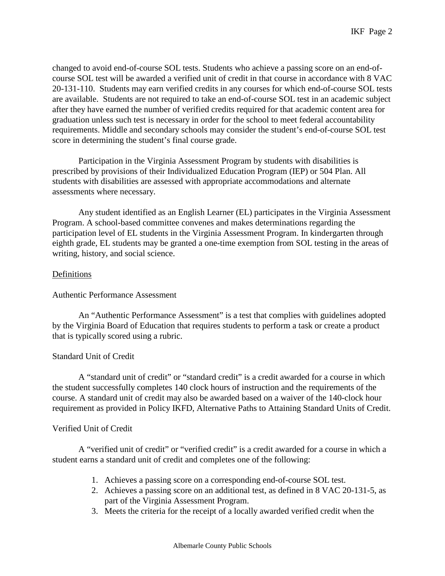changed to avoid end-of-course SOL tests. Students who achieve a passing score on an end-ofcourse SOL test will be awarded a verified unit of credit in that course in accordance with 8 VAC 20-131-110. Students may earn verified credits in any courses for which end-of-course SOL tests are available. Students are not required to take an end-of-course SOL test in an academic subject after they have earned the number of verified credits required for that academic content area for graduation unless such test is necessary in order for the school to meet federal accountability requirements. Middle and secondary schools may consider the student's end-of-course SOL test score in determining the student's final course grade.

Participation in the Virginia Assessment Program by students with disabilities is prescribed by provisions of their Individualized Education Program (IEP) or 504 Plan. All students with disabilities are assessed with appropriate accommodations and alternate assessments where necessary.

Any student identified as an English Learner (EL) participates in the Virginia Assessment Program. A school-based committee convenes and makes determinations regarding the participation level of EL students in the Virginia Assessment Program. In kindergarten through eighth grade, EL students may be granted a one-time exemption from SOL testing in the areas of writing, history, and social science.

## **Definitions**

### Authentic Performance Assessment

An "Authentic Performance Assessment" is a test that complies with guidelines adopted by the Virginia Board of Education that requires students to perform a task or create a product that is typically scored using a rubric.

### Standard Unit of Credit

A "standard unit of credit" or "standard credit" is a credit awarded for a course in which the student successfully completes 140 clock hours of instruction and the requirements of the course. A standard unit of credit may also be awarded based on a waiver of the 140-clock hour requirement as provided in Policy IKFD, Alternative Paths to Attaining Standard Units of Credit.

### Verified Unit of Credit

A "verified unit of credit" or "verified credit" is a credit awarded for a course in which a student earns a standard unit of credit and completes one of the following:

- 1. Achieves a passing score on a corresponding end-of-course SOL test.
- 2. Achieves a passing score on an additional test, as defined in 8 VAC 20-131-5, as part of the Virginia Assessment Program.
- 3. Meets the criteria for the receipt of a locally awarded verified credit when the